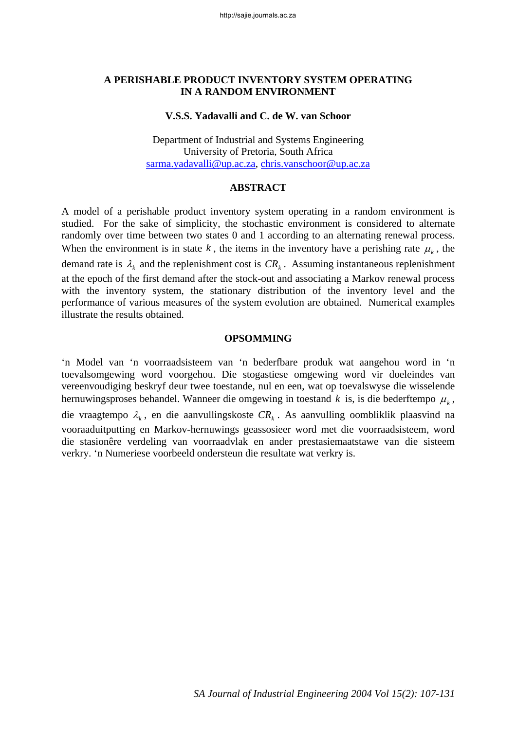### **A PERISHABLE PRODUCT INVENTORY SYSTEM OPERATING IN A RANDOM ENVIRONMENT**

#### **V.S.S. Yadavalli and C. de W. van Schoor**

Department of Industrial and Systems Engineering University of Pretoria, South Africa sarma.yadavalli@up.ac.za, chris.vanschoor@up.ac.za

#### **ABSTRACT**

A model of a perishable product inventory system operating in a random environment is studied. For the sake of simplicity, the stochastic environment is considered to alternate randomly over time between two states 0 and 1 according to an alternating renewal process. When the environment is in state  $k$ , the items in the inventory have a perishing rate  $\mu_k$ , the demand rate is  $\lambda_k$  and the replenishment cost is  $CR_k$ . Assuming instantaneous replenishment at the epoch of the first demand after the stock-out and associating a Markov renewal process with the inventory system, the stationary distribution of the inventory level and the performance of various measures of the system evolution are obtained. Numerical examples illustrate the results obtained.

#### **OPSOMMING**

'n Model van 'n voorraadsisteem van 'n bederfbare produk wat aangehou word in 'n toevalsomgewing word voorgehou. Die stogastiese omgewing word vir doeleindes van vereenvoudiging beskryf deur twee toestande, nul en een, wat op toevalswyse die wisselende hernuwingsproses behandel. Wanneer die omgewing in toestand  $k$  is, is die bederftempo  $\mu_k$ , die vraagtempo  $\lambda_k$ , en die aanvullingskoste  $CR_k$ . As aanvulling oombliklik plaasvind na vooraaduitputting en Markov-hernuwings geassosieer word met die voorraadsisteem, word die stasionêre verdeling van voorraadvlak en ander prestasiemaatstawe van die sisteem verkry. 'n Numeriese voorbeeld ondersteun die resultate wat verkry is.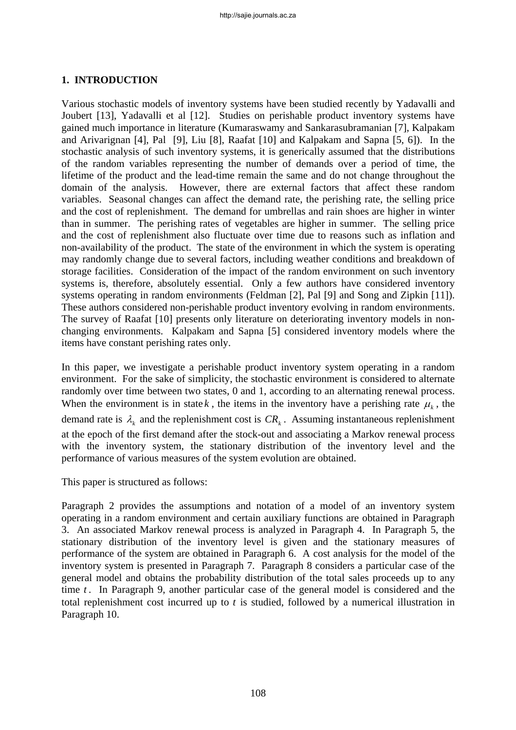## **1. INTRODUCTION**

Various stochastic models of inventory systems have been studied recently by Yadavalli and Joubert [13], Yadavalli et al [12]. Studies on perishable product inventory systems have gained much importance in literature (Kumaraswamy and Sankarasubramanian [7], Kalpakam and Arivarignan [4], Pal [9], Liu [8], Raafat [10] and Kalpakam and Sapna [5, 6]). In the stochastic analysis of such inventory systems, it is generically assumed that the distributions of the random variables representing the number of demands over a period of time, the lifetime of the product and the lead-time remain the same and do not change throughout the domain of the analysis. However, there are external factors that affect these random variables. Seasonal changes can affect the demand rate, the perishing rate, the selling price and the cost of replenishment. The demand for umbrellas and rain shoes are higher in winter than in summer. The perishing rates of vegetables are higher in summer. The selling price and the cost of replenishment also fluctuate over time due to reasons such as inflation and non-availability of the product. The state of the environment in which the system is operating may randomly change due to several factors, including weather conditions and breakdown of storage facilities. Consideration of the impact of the random environment on such inventory systems is, therefore, absolutely essential. Only a few authors have considered inventory systems operating in random environments (Feldman [2], Pal [9] and Song and Zipkin [11]). These authors considered non-perishable product inventory evolving in random environments. The survey of Raafat [10] presents only literature on deteriorating inventory models in nonchanging environments. Kalpakam and Sapna [5] considered inventory models where the items have constant perishing rates only.

In this paper, we investigate a perishable product inventory system operating in a random environment. For the sake of simplicity, the stochastic environment is considered to alternate randomly over time between two states, 0 and 1, according to an alternating renewal process. When the environment is in state k, the items in the inventory have a perishing rate  $\mu_k$ , the demand rate is  $\lambda_k$  and the replenishment cost is  $CR_k$ . Assuming instantaneous replenishment at the epoch of the first demand after the stock-out and associating a Markov renewal process with the inventory system, the stationary distribution of the inventory level and the performance of various measures of the system evolution are obtained.

This paper is structured as follows:

Paragraph 2 provides the assumptions and notation of a model of an inventory system operating in a random environment and certain auxiliary functions are obtained in Paragraph 3. An associated Markov renewal process is analyzed in Paragraph 4. In Paragraph 5, the stationary distribution of the inventory level is given and the stationary measures of performance of the system are obtained in Paragraph 6. A cost analysis for the model of the inventory system is presented in Paragraph 7. Paragraph 8 considers a particular case of the general model and obtains the probability distribution of the total sales proceeds up to any time *t*. In Paragraph 9, another particular case of the general model is considered and the total replenishment cost incurred up to *t* is studied, followed by a numerical illustration in Paragraph 10.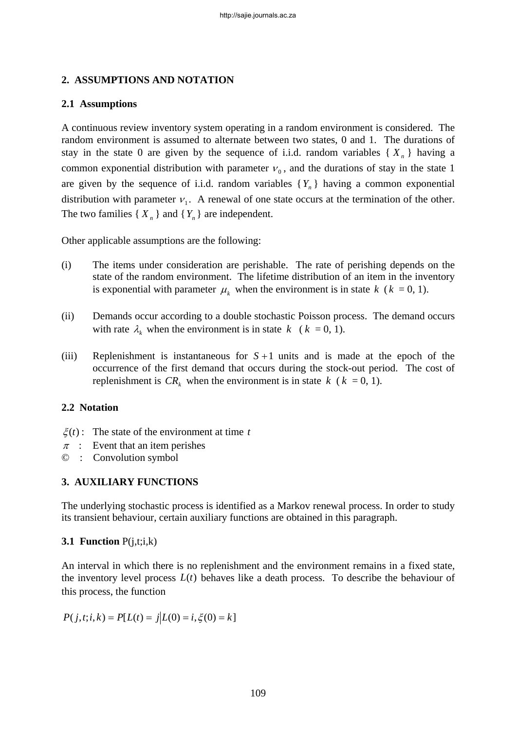# **2. ASSUMPTIONS AND NOTATION**

# **2.1 Assumptions**

A continuous review inventory system operating in a random environment is considered. The random environment is assumed to alternate between two states, 0 and 1. The durations of stay in the state 0 are given by the sequence of i.i.d. random variables  $\{X_n\}$  having a common exponential distribution with parameter  $v_0$ , and the durations of stay in the state 1 are given by the sequence of i.i.d. random variables  ${Y_n}$  having a common exponential distribution with parameter  $v_1$ . A renewal of one state occurs at the termination of the other. The two families  $\{X_n\}$  and  $\{Y_n\}$  are independent.

Other applicable assumptions are the following:

- (i) The items under consideration are perishable. The rate of perishing depends on the state of the random environment. The lifetime distribution of an item in the inventory is exponential with parameter  $\mu_k$  when the environment is in state  $k$  ( $k = 0, 1$ ).
- (ii) Demands occur according to a double stochastic Poisson process. The demand occurs with rate  $\lambda_k$  when the environment is in state  $k \neq (k = 0, 1)$ .
- (iii) Replenishment is instantaneous for *S* +1 units and is made at the epoch of the occurrence of the first demand that occurs during the stock-out period. The cost of replenishment is  $CR_k$  when the environment is in state  $k$  ( $k = 0, 1$ ).

# **2.2 Notation**

- $\xi(t)$ : The state of the environment at time *t*
- $\pi$  : Event that an item perishes
- © : Convolution symbol

# **3. AUXILIARY FUNCTIONS**

The underlying stochastic process is identified as a Markov renewal process. In order to study its transient behaviour, certain auxiliary functions are obtained in this paragraph.

**3.1 Function** P(j,t;i,k)

An interval in which there is no replenishment and the environment remains in a fixed state, the inventory level process  $L(t)$  behaves like a death process. To describe the behaviour of this process, the function

$$
P(j, t; i, k) = P[L(t) = j | L(0) = i, \xi(0) = k]
$$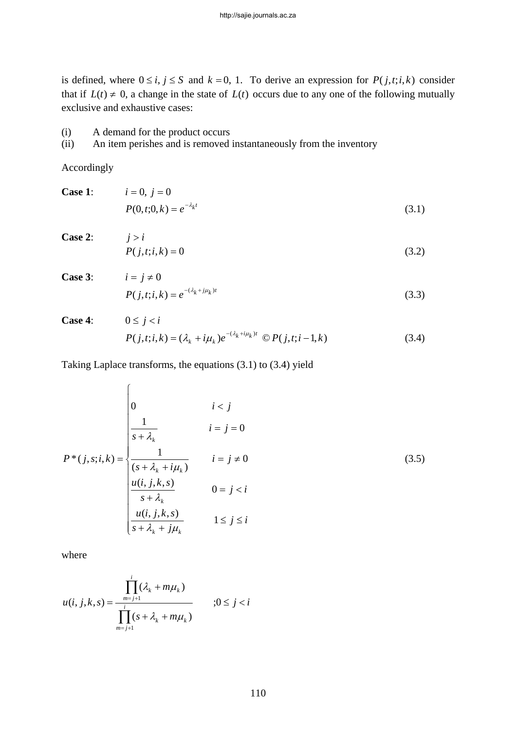is defined, where  $0 \le i, j \le S$  and  $k = 0, 1$ . To derive an expression for  $P(j, t; i, k)$  consider that if  $L(t) \neq 0$ , a change in the state of  $L(t)$  occurs due to any one of the following mutually exclusive and exhaustive cases:

### (i) A demand for the product occurs

(ii) An item perishes and is removed instantaneously from the inventory

Accordingly

| <b>Case 1:</b> $i = 0, j = 0$ |                                 |       |
|-------------------------------|---------------------------------|-------|
|                               | $P(0,t;0,k) = e^{-\lambda_k t}$ | (3.1) |

**Case 2:**  $j > i$ 

$$
P(j,t;i,k) = 0 \tag{3.2}
$$

**Case 3:**  $i = j \neq 0$  $P(j,t;i,k) = e^{-(\lambda_k + j\mu_k)t}$  (3.3)

Case 4: 
$$
0 \le j < i
$$
  
\n $P(j,t;i,k) = (\lambda_k + i\mu_k)e^{-(\lambda_k + i\mu_k)t} \mathbb{O}P(j,t;i-1,k)$  (3.4)

Taking Laplace transforms, the equations (3.1) to (3.4) yield

$$
P^*(j, s; i, k) = \begin{cases} 0 & i < j \\ \frac{1}{s + \lambda_k} & i = j = 0 \\ \frac{1}{(s + \lambda_k + i\mu_k)} & i = j \neq 0 \\ \frac{u(i, j, k, s)}{s + \lambda_k} & 0 = j < i \\ \frac{u(i, j, k, s)}{s + \lambda_k + j\mu_k} & 1 \leq j \leq i \end{cases} \tag{3.5}
$$

where

$$
u(i, j, k, s) = \frac{\prod_{m=j+1}^{i} (\lambda_k + m\mu_k)}{\prod_{m=j+1}^{i} (s + \lambda_k + m\mu_k)}, 0 \le j < i
$$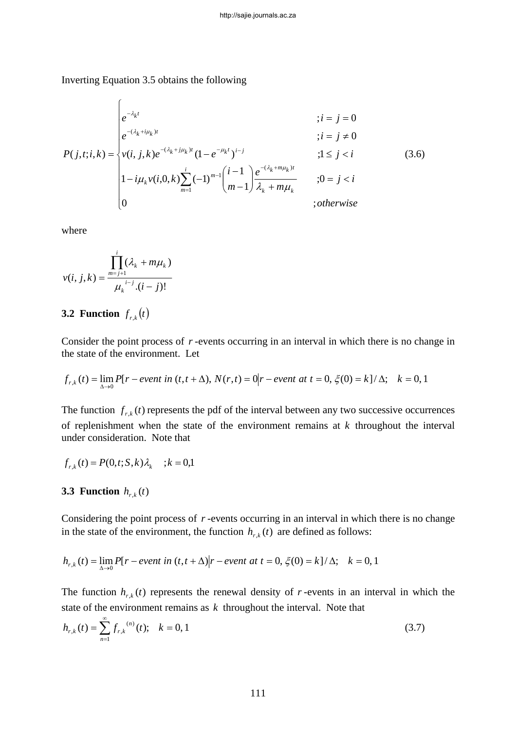Inverting Equation 3.5 obtains the following

$$
P(j,t;i,k) = \begin{cases} e^{-\lambda_k t} & ; i = j = 0 \\ e^{-(\lambda_k + i\mu_k)t} & ; i = j \neq 0 \\ v(i,j,k)e^{-(\lambda_k + j\mu_k)t} (1 - e^{-\mu_k t})^{i-j} & ; 1 \leq j < i \\ 1 - i\mu_k v(i,0,k) \sum_{m=1}^i (-1)^{m-1} {i-1 \choose m-1} \frac{e^{-(\lambda_k + m\mu_k)t}}{\lambda_k + m\mu_k} & ; 0 = j < i \\ 0 & ; otherwise \end{cases}
$$
(3.6)

where

$$
v(i, j, k) = \frac{\prod_{m=j+1}^{i} (\lambda_k + m\mu_k)}{\mu_k^{i-j} (i-j)!}
$$

# **3.2 Function**  $f_{r,k}(t)$

Consider the point process of *r* -events occurring in an interval in which there is no change in the state of the environment. Let

$$
f_{r,k}(t) = \lim_{\Delta \to 0} P[r - event \ in \ (t, t + \Delta), \ N(r, t) = 0]r - event \ at \ t = 0, \ \xi(0) = k \frac{1}{\Delta}; \quad k = 0, 1
$$

The function  $f_{r,k}(t)$  represents the pdf of the interval between any two successive occurrences of replenishment when the state of the environment remains at *k* throughout the interval under consideration. Note that

$$
f_{r,k}(t) = P(0,t; S, k) \lambda_k
$$
 ;  $k = 0,1$ 

#### **3.3 Function**  $h_{r,k}(t)$

Considering the point process of  $r$ -events occurring in an interval in which there is no change in the state of the environment, the function  $h_{r,k}(t)$  are defined as follows:

$$
h_{r,k}(t) = \lim_{\Delta \to 0} P[r - event in (t, t + \Delta)]r - event at t = 0, \xi(0) = k]/\Delta; \quad k = 0, 1
$$

The function  $h_{r,k}(t)$  represents the renewal density of *r*-events in an interval in which the state of the environment remains as *k* throughout the interval. Note that

$$
h_{r,k}(t) = \sum_{n=1}^{\infty} f_{r,k}^{(n)}(t); \quad k = 0, 1
$$
\n(3.7)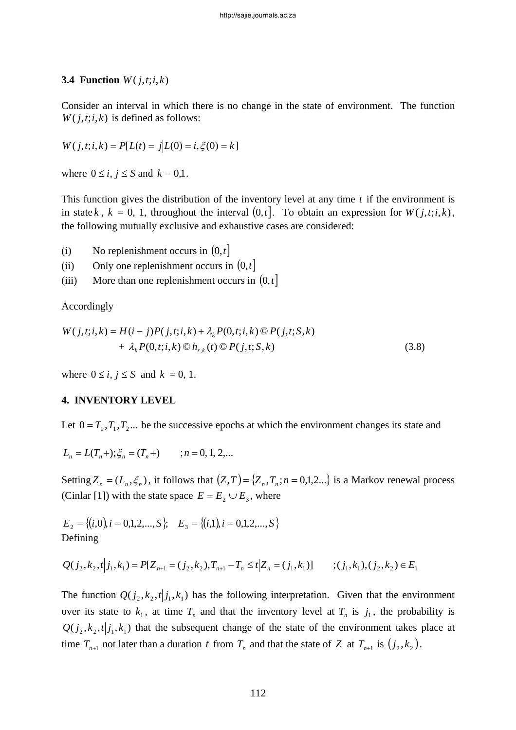### **3.4 Function**  $W(j,t;i,k)$

Consider an interval in which there is no change in the state of environment. The function  $W(j,t;i,k)$  is defined as follows:

$$
W(j, t; i, k) = P[L(t) = j | L(0) = i, \xi(0) = k]
$$

where  $0 \le i, j \le S$  and  $k = 0,1$ .

This function gives the distribution of the inventory level at any time *t* if the environment is in state *k*,  $k = 0, 1$ , throughout the interval  $(0, t]$ . To obtain an expression for  $W(j, t; i, k)$ , the following mutually exclusive and exhaustive cases are considered:

- (i) No replenishment occurs in  $(0, t]$
- (ii) Only one replenishment occurs in  $(0, t]$
- (iii) More than one replenishment occurs in  $(0,t]$

Accordingly

$$
W(j,t;i,k) = H(i-j)P(j,t;i,k) + \lambda_k P(0,t;i,k) \, \mathbb{O} \, P(j,t;S,k) + \lambda_k P(0,t;i,k) \, \mathbb{O} \, h_{r,k}(t) \, \mathbb{O} \, P(j,t;S,k)
$$
\n(3.8)

where  $0 \le i, j \le S$  and  $k = 0, 1$ .

#### **4. INVENTORY LEVEL**

Let  $0 = T_0, T_1, T_2, \ldots$  be the successive epochs at which the environment changes its state and

$$
L_n = L(T_n + ); \xi_n = (T_n + ) \qquad ; n = 0, 1, 2, ...
$$

Setting  $Z_n = (L_n, \xi_n)$ , it follows that  $(Z, T) = \{ Z_n, T_n; n = 0, 1, 2...\}$  is a Markov renewal process (Cinlar [1]) with the state space  $E = E_2 \cup E_3$ , where

 $E_2 = \{(i,0), i = 0,1,2,...,S\};$   $E_3 = \{(i,1), i = 0,1,2,...,S\}$ Defining

$$
Q(j_2, k_2, t | j_1, k_1) = P[Z_{n+1} = (j_2, k_2), T_{n+1} - T_n \le t | Z_n = (j_1, k_1)] \qquad ; (j_1, k_1), (j_2, k_2) \in E_1
$$

The function  $Q(j_2, k_2, t|j_1, k_1)$  has the following interpretation. Given that the environment over its state to  $k_1$ , at time  $T_n$  and that the inventory level at  $T_n$  is  $j_1$ , the probability is  $Q(j_2, k_2, t|j_1, k_1)$  that the subsequent change of the state of the environment takes place at time  $T_{n+1}$  not later than a duration *t* from  $T_n$  and that the state of *Z* at  $T_{n+1}$  is  $(j_2, k_2)$ .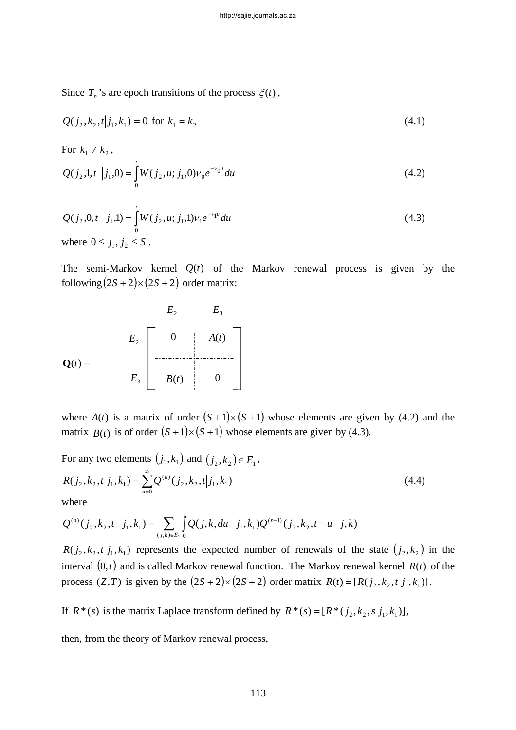Since  $T_n$ 's are epoch transitions of the process  $\xi(t)$ ,

$$
Q(j_2, k_2, t|j_1, k_1) = 0 \text{ for } k_1 = k_2
$$
\n(4.1)

For  $k_1 \neq k_2$ ,

$$
Q(j_2,1,t \mid j_1,0) = \int_0^t W(j_2,u; j_1,0) v_0 e^{-v_0 u} du
$$
\n(4.2)

$$
Q(j_2, 0, t | j_1, 1) = \int_0^t W(j_2, u; j_1, 1) v_1 e^{-v_1 u} du
$$
  
where  $0 \le j_1, j_2 \le S$ . (4.3)

The semi-Markov kernel  $Q(t)$  of the Markov renewal process is given by the following  $(2S + 2) \times (2S + 2)$  order matrix:

$$
E_2
$$
\n
$$
E_2
$$
\n
$$
E_3
$$
\n
$$
E_2
$$
\n
$$
E_3
$$
\n
$$
E_4
$$
\n
$$
B(t)
$$
\n
$$
0
$$
\n
$$
0
$$
\n
$$
0
$$
\n
$$
0
$$

where  $A(t)$  is a matrix of order  $(S+1)\times(S+1)$  whose elements are given by (4.2) and the matrix  $B(t)$  is of order  $(S+1) \times (S+1)$  whose elements are given by (4.3).

For any two elements  $(j_1, k_1)$  and  $(j_2, k_2) \in E_1$ ,

$$
R(j_2, k_2, t | j_1, k_1) = \sum_{n=0}^{\infty} Q^{(n)}(j_2, k_2, t | j_1, k_1)
$$
\n(4.4)

where

$$
Q^{(n)}(j_2, k_2, t | j_1, k_1) = \sum_{(j,k)\in E_1} \int_0^t Q(j,k, du | j_1, k_1) Q^{(n-1)}(j_2, k_2, t - u | j, k)
$$

 $R(j_2, k_2, t|j_1, k_1)$  represents the expected number of renewals of the state  $(j_2, k_2)$  in the interval  $(0, t)$  and is called Markov renewal function. The Markov renewal kernel  $R(t)$  of the process  $(Z, T)$  is given by the  $(2S + 2) \times (2S + 2)$  order matrix  $R(t) = [R(j_2, k_2, t|j_1, k_1)].$ 

If  $R^*(s)$  is the matrix Laplace transform defined by  $R^*(s) = [R^*(j_2, k_2, s|j_1, k_1)],$ 

then, from the theory of Markov renewal process,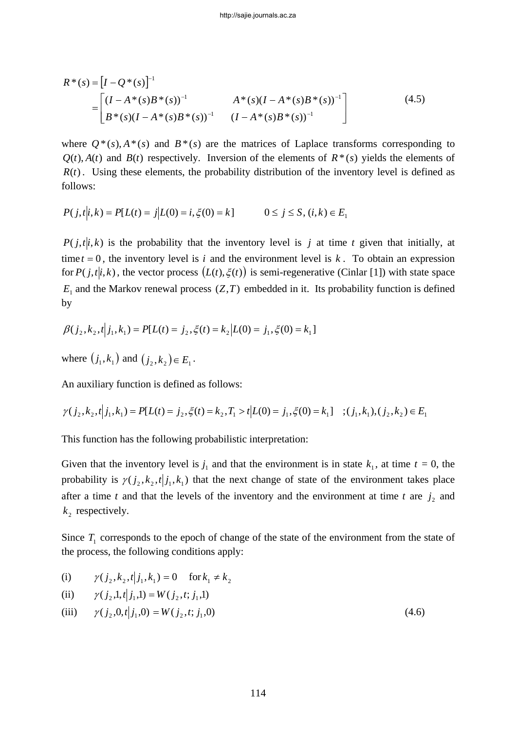$$
R^*(s) = [I - Q^*(s)]^{-1}
$$
  
= 
$$
\begin{bmatrix} (I - A^*(s)B^*(s))^{-1} & A^*(s)(I - A^*(s)B^*(s))^{-1} \ B^*(s)(I - A^*(s)B^*(s))^{-1} & (I - A^*(s)B^*(s))^{-1} \end{bmatrix}
$$
(4.5)

where  $Q^*(s)$ ,  $A^*(s)$  and  $B^*(s)$  are the matrices of Laplace transforms corresponding to  $Q(t)$ ,  $A(t)$  and  $B(t)$  respectively. Inversion of the elements of  $R^*(s)$  yields the elements of  $R(t)$ . Using these elements, the probability distribution of the inventory level is defined as follows:

$$
P(j,t|i,k) = P[L(t) = j | L(0) = i, \xi(0) = k] \qquad 0 \le j \le S, (i,k) \in E_1
$$

 $P(j, t|i, k)$  is the probability that the inventory level is *j* at time *t* given that initially, at time  $t = 0$ , the inventory level is *i* and the environment level is *k*. To obtain an expression for  $P(j, t|i, k)$ , the vector process  $(L(t), \xi(t))$  is semi-regenerative (Cinlar [1]) with state space  $E_1$  and the Markov renewal process  $(Z, T)$  embedded in it. Its probability function is defined by

$$
\beta(j_2, k_2, t | j_1, k_1) = P[L(t) = j_2, \xi(t) = k_2 | L(0) = j_1, \xi(0) = k_1]
$$

where  $(j_1, k_1)$  and  $(j_2, k_2) \in E_1$ .

An auxiliary function is defined as follows:

$$
\gamma(j_2, k_2, t | j_1, k_1) = P[L(t) = j_2, \xi(t) = k_2, T_1 > t | L(0) = j_1, \xi(0) = k_1] \quad ; (j_1, k_1), (j_2, k_2) \in E_1
$$

This function has the following probabilistic interpretation:

Given that the inventory level is  $j_1$  and that the environment is in state  $k_1$ , at time  $t = 0$ , the probability is  $\gamma(j_2, k_2, t | j_1, k_1)$  that the next change of state of the environment takes place after a time *t* and that the levels of the inventory and the environment at time *t* are  $j_2$  and  $k<sub>2</sub>$  respectively.

Since  $T_1$  corresponds to the epoch of change of the state of the environment from the state of the process, the following conditions apply:

(i) 
$$
\gamma(j_2, k_2, t | j_1, k_1) = 0
$$
 for  $k_1 \neq k_2$ 

(ii) 
$$
\gamma(j_2, 1, t | j_1, 1) = W(j_2, t; j_1, 1)
$$

(iii) 
$$
\gamma(j_2, 0, t | j_1, 0) = W(j_2, t; j_1, 0)
$$
 (4.6)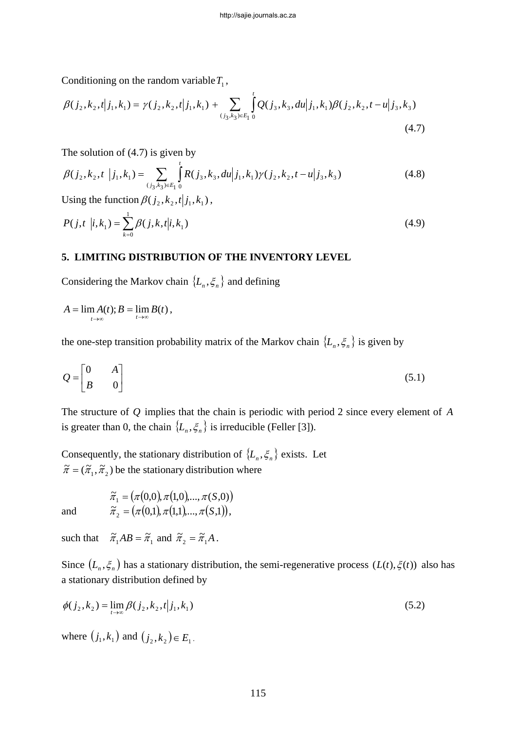Conditioning on the random variable  $T_1$ ,

$$
\beta(j_2, k_2, t | j_1, k_1) = \gamma(j_2, k_2, t | j_1, k_1) + \sum_{(j_3, k_3) \in E_1} \int_0^t Q(j_3, k_3, du | j_1, k_1) \beta(j_2, k_2, t - u | j_3, k_3)
$$
\n(4.7)

The solution of (4.7) is given by

$$
\beta(j_2, k_2, t \mid j_1, k_1) = \sum_{(j_3, k_3) \in E_1} \int_0^t R(j_3, k_3, du \mid j_1, k_1) \gamma(j_2, k_2, t - u \mid j_3, k_3)
$$
\n(4.8)

Using the function  $\beta(j_2,k_2,t|j_1,k_1)$ ,

$$
P(j,t \mid i,k_1) = \sum_{k=0}^{1} \beta(j,k,t|i,k_1)
$$
\n(4.9)

### **5. LIMITING DISTRIBUTION OF THE INVENTORY LEVEL**

Considering the Markov chain  $\{L_n, \xi_n\}$  and defining

$$
A=\lim_{t\to\infty}A(t);B=\lim_{t\to\infty}B(t),
$$

the one-step transition probability matrix of the Markov chain  $\{L_n, \xi_n\}$  is given by

$$
Q = \begin{bmatrix} 0 & A \\ B & 0 \end{bmatrix} \tag{5.1}
$$

The structure of *Q* implies that the chain is periodic with period 2 since every element of *A* is greater than 0, the chain  $\{L_n, \xi_n\}$  is irreducible (Feller [3]).

Consequently, the stationary distribution of  $\{L_n, \xi_n\}$  exists. Let  $\tilde{\pi} = (\tilde{\pi}_1, \tilde{\pi}_2)$  be the stationary distribution where

and 
$$
\tilde{\pi}_1 = (\pi(0,0), \pi(1,0), ..., \pi(S,0))
$$

$$
\tilde{\pi}_2 = (\pi(0,1), \pi(1,1), ..., \pi(S,1)),
$$

such that  $\tilde{\pi}_1 AB = \tilde{\pi}_1$  and  $\tilde{\pi}_2 = \tilde{\pi}_1 A$ .

Since  $(L_n, \xi_n)$  has a stationary distribution, the semi-regenerative process  $(L(t), \xi(t))$  also has a stationary distribution defined by

$$
\phi(j_2, k_2) = \lim_{t \to \infty} \beta(j_2, k_2, t | j_1, k_1)
$$
\n(5.2)

where  $(j_1, k_1)$  and  $(j_2, k_2) \in E_1$ .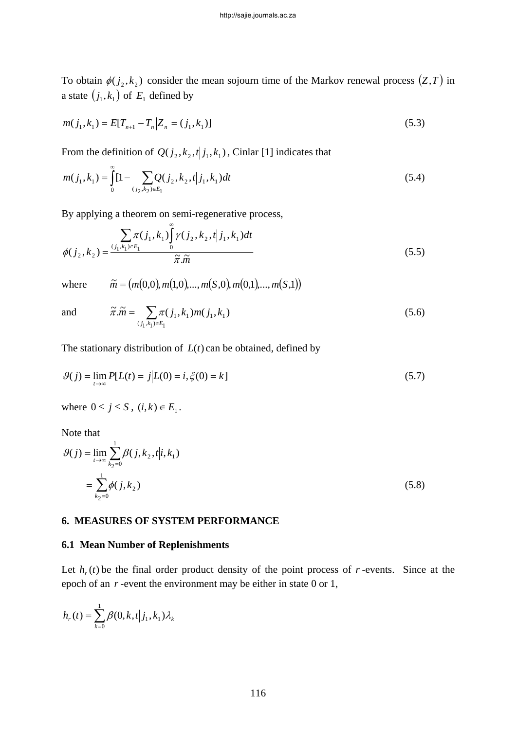To obtain  $\phi(j_2, k_2)$  consider the mean sojourn time of the Markov renewal process  $(Z, T)$  in a state  $(j_1, k_1)$  of  $E_1$  defined by

$$
m(j_1, k_1) = E[T_{n+1} - T_n | Z_n = (j_1, k_1)]
$$
\n(5.3)

From the definition of  $Q(j_2, k_2, t|j_1, k_1)$ , Cinlar [1] indicates that

$$
m(j_1, k_1) = \int_0^\infty [1 - \sum_{(j_2, k_2) \in E_1} Q(j_2, k_2, t | j_1, k_1) dt \tag{5.4}
$$

By applying a theorem on semi-regenerative process,

$$
\phi(j_2, k_2) = \frac{\sum_{(j_1, k_1) \in E_1} \pi(j_1, k_1) \int_0^\infty \gamma(j_2, k_2, t | j_1, k_1) dt}{\tilde{\pi}.\tilde{m}}
$$
\n(5.5)

where  $\widetilde{m} = ( m(0,0), m(1,0),...,m(S,0),m(0,1),...,m(S,1))$ 

and 
$$
\widetilde{\pi}.\widetilde{m} = \sum_{(j_1,k_1)\in E_1} \pi(j_1,k_1)m(j_1,k_1)
$$
 (5.6)

The stationary distribution of  $L(t)$  can be obtained, defined by

$$
\mathcal{G}(j) = \lim_{t \to \infty} P[L(t) = j | L(0) = i, \xi(0) = k]
$$
\n(5.7)

where  $0 \le j \le S$ ,  $(i, k) \in E_1$ .

Note that

$$
\mathcal{G}(j) = \lim_{t \to \infty} \sum_{k_2=0}^{1} \beta(j, k_2, t | i, k_1)
$$
  
= 
$$
\sum_{k_2=0}^{1} \phi(j, k_2)
$$
 (5.8)

#### **6. MEASURES OF SYSTEM PERFORMANCE**

#### **6.1 Mean Number of Replenishments**

Let  $h_r(t)$  be the final order product density of the point process of *r*-events. Since at the epoch of an *r* -event the environment may be either in state 0 or 1,

$$
h_r(t) = \sum_{k=0}^1 \beta(0, k, t | j_1, k_1) \lambda_k
$$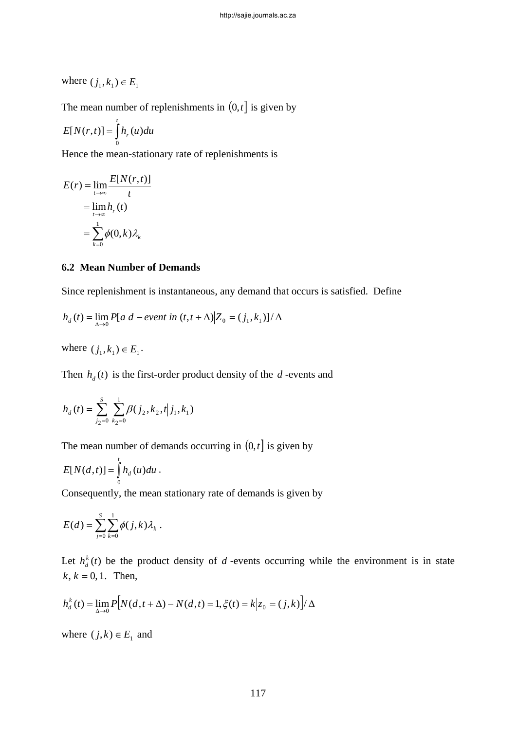where  $(j_1, k_1) \in E_1$ 

The mean number of replenishments in  $(0, t]$  is given by

$$
E[N(r,t)] = \int_{0}^{t} h_r(u) du
$$

Hence the mean-stationary rate of replenishments is

$$
E(r) = \lim_{t \to \infty} \frac{E[N(r, t)]}{t}
$$

$$
= \lim_{t \to \infty} h_r(t)
$$

$$
= \sum_{k=0}^{1} \phi(0, k) \lambda_k
$$

#### **6.2 Mean Number of Demands**

Since replenishment is instantaneous, any demand that occurs is satisfied. Define

$$
h_d(t) = \lim_{\Delta \to 0} P[a \ d - event \ in \ (t, t + \Delta)] Z_0 = (j_1, k_1)]/\Delta
$$

where  $(j_1, k_1) \in E_1$ .

Then  $h_d(t)$  is the first-order product density of the *d*-events and

$$
h_d(t) = \sum_{j_2=0}^{S} \sum_{k_2=0}^{1} \beta(j_2, k_2, t | j_1, k_1)
$$

The mean number of demands occurring in  $(0, t]$  is given by

$$
E[N(d,t)] = \int_0^t h_d(u) du.
$$

Consequently, the mean stationary rate of demands is given by

$$
E(d) = \sum_{j=0}^S \sum_{k=0}^1 \phi(j,k) \lambda_k.
$$

Let  $h_d^k(t)$  be the product density of *d*-events occurring while the environment is in state  $k, k = 0, 1$ . Then,

$$
h_d^k(t) = \lim_{\Delta \to 0} P[N(d, t + \Delta) - N(d, t)] = 1, \xi(t) = k | z_0 = (j, k) / \Delta
$$

where  $(j,k) \in E_1$  and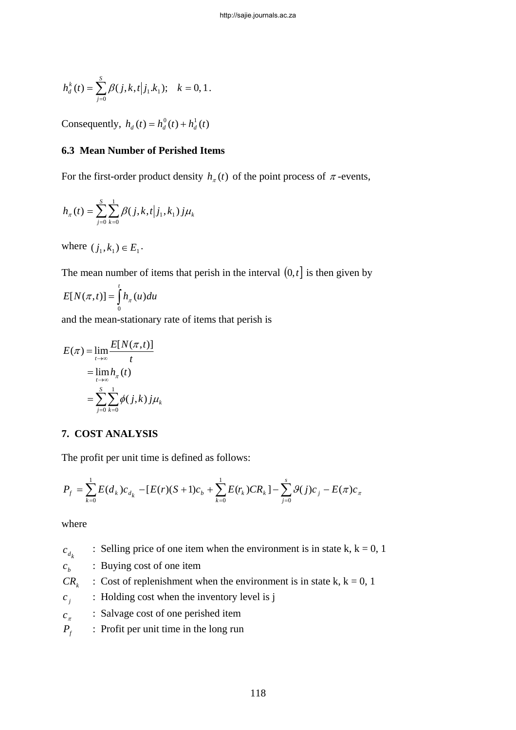$$
h_d^k(t) = \sum_{j=0}^s \beta(j,k,t|j_1.k_1); \quad k = 0,1.
$$

Consequently,  $h_d(t) = h_d^0(t) + h_d^1(t)$ 

# **6.3 Mean Number of Perished Items**

For the first-order product density  $h_{\pi}(t)$  of the point process of  $\pi$ -events,

$$
h_\pi(t) = \sum_{j=0}^S \sum_{k=0}^1 \beta(j,k,t|j_1,k_1) j \mu_k
$$

where  $(j_1, k_1) \in E_1$ .

The mean number of items that perish in the interval  $(0, t]$  is then given by

$$
E[N(\pi,t)] = \int_{0}^{t} h_{\pi}(u) du
$$

and the mean-stationary rate of items that perish is

$$
E(\pi) = \lim_{t \to \infty} \frac{E[N(\pi, t)]}{t}
$$

$$
= \lim_{t \to \infty} h_{\pi}(t)
$$

$$
= \sum_{j=0}^{S} \sum_{k=0}^{1} \phi(j, k) j \mu_{k}
$$

# **7. COST ANALYSIS**

The profit per unit time is defined as follows:

$$
P_f = \sum_{k=0}^{1} E(d_k) c_{d_k} - [E(r)(S+1)c_b + \sum_{k=0}^{1} E(r_k)CR_k] - \sum_{j=0}^{s} \mathcal{G}(j)c_j - E(\pi)c_{\pi}
$$

where

| $c_{d_k}$      | : Selling price of one item when the environment is in state k, $k = 0, 1$ |
|----------------|----------------------------------------------------------------------------|
| c <sub>b</sub> | : Buying cost of one item                                                  |
| $CR_{\iota}$   | : Cost of replenishment when the environment is in state k, $k = 0, 1$     |
| $c_i$          | : Holding cost when the inventory level is j                               |
| $c_{\pi}$      | : Salvage cost of one perished item                                        |
| $P_{\epsilon}$ | : Profit per unit time in the long run                                     |
|                |                                                                            |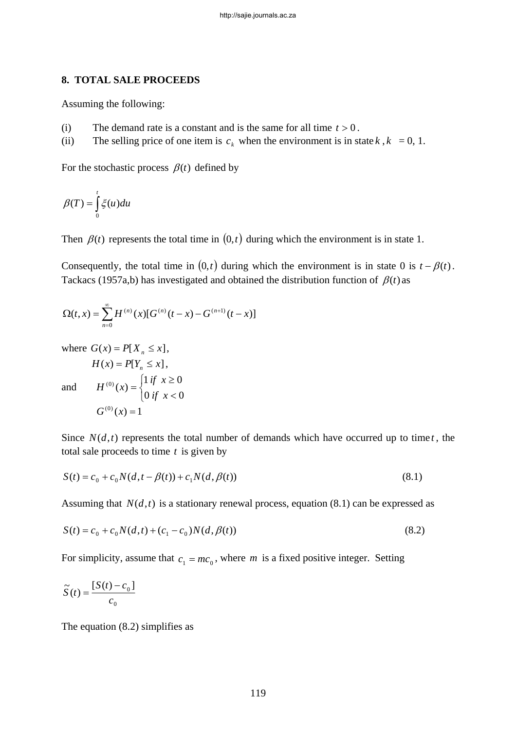#### **8. TOTAL SALE PROCEEDS**

Assuming the following:

- (i) The demand rate is a constant and is the same for all time  $t > 0$ .
- (ii) The selling price of one item is  $c_k$  when the environment is in state  $k$ ,  $k = 0, 1$ .

For the stochastic process  $\beta(t)$  defined by

$$
\beta(T) = \int_{0}^{t} \xi(u) du
$$

Then  $\beta(t)$  represents the total time in  $(0, t)$  during which the environment is in state 1.

Consequently, the total time in  $(0, t)$  during which the environment is in state 0 is  $t - \beta(t)$ . Tackacs (1957a,b) has investigated and obtained the distribution function of  $\beta(t)$  as

$$
\Omega(t,x) = \sum_{n=0}^{\infty} H^{(n)}(x) [G^{(n)}(t-x) - G^{(n+1)}(t-x)]
$$

where  $G(x) = P[X_n \le x],$ 

and

$$
H(x) = P[Y_n \le x],
$$
  
\n
$$
H^{(0)}(x) = \begin{cases} 1 & \text{if } x \ge 0 \\ 0 & \text{if } x < 0 \end{cases}
$$
  
\n
$$
G^{(0)}(x) = 1
$$

Since  $N(d,t)$  represents the total number of demands which have occurred up to time *t*, the total sale proceeds to time *t* is given by

$$
S(t) = c_0 + c_0 N(d, t - \beta(t)) + c_1 N(d, \beta(t))
$$
\n(8.1)

Assuming that  $N(d,t)$  is a stationary renewal process, equation (8.1) can be expressed as

$$
S(t) = c_0 + c_0 N(d, t) + (c_1 - c_0) N(d, \beta(t))
$$
\n(8.2)

For simplicity, assume that  $c_1 = mc_0$ , where *m* is a fixed positive integer. Setting

$$
\widetilde{S}(t) = \frac{[S(t) - c_0]}{c_0}
$$

The equation (8.2) simplifies as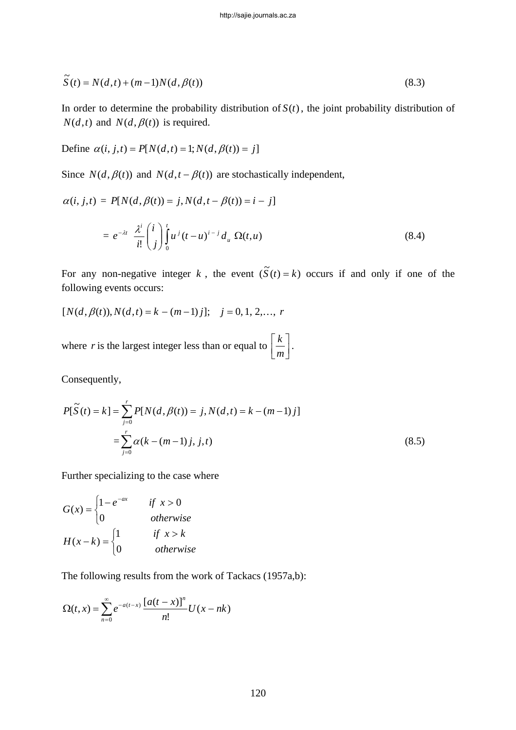$$
\widetilde{S}(t) = N(d,t) + (m-1)N(d,\beta(t))
$$
\n(8.3)

In order to determine the probability distribution of  $S(t)$ , the joint probability distribution of  $N(d,t)$  and  $N(d, \beta(t))$  is required.

Define  $\alpha(i, j, t) = P[N(d, t) = 1; N(d, \beta(t)) = j]$ 

Since  $N(d, \beta(t))$  and  $N(d, t - \beta(t))$  are stochastically independent,

$$
\alpha(i, j, t) = P[N(d, \beta(t)) = j, N(d, t - \beta(t)) = i - j]
$$

$$
= e^{-\lambda t} \frac{\lambda^{i}}{i!} {i \choose j} \int_{0}^{t} u^{j} (t - u)^{i - j} d_{u} \Omega(t, u)
$$
(8.4)

For any non-negative integer k, the event  $(\tilde{S}(t) = k)$  occurs if and only if one of the following events occurs:

$$
[N(d, \beta(t)), N(d, t) = k - (m-1)j]; \quad j = 0, 1, 2, \dots, r
$$

where *r* is the largest integer less than or equal to  $\left\lfloor \frac{k}{m} \right\rfloor$  $\mathsf{L}$ *m*  $\lfloor k \rfloor$ .

Consequently,

$$
P[\tilde{S}(t) = k] = \sum_{j=0}^{r} P[N(d, \beta(t)) = j, N(d, t) = k - (m - 1)j]
$$
  
= 
$$
\sum_{j=0}^{r} \alpha(k - (m - 1)j, j, t)
$$
 (8.5)

Further specializing to the case where

$$
G(x) = \begin{cases} 1 - e^{-ax} & \text{if } x > 0\\ 0 & \text{otherwise} \end{cases}
$$
  

$$
H(x-k) = \begin{cases} 1 & \text{if } x > k\\ 0 & \text{otherwise} \end{cases}
$$

The following results from the work of Tackacs (1957a,b):

$$
\Omega(t,x) = \sum_{n=0}^{\infty} e^{-a(t-x)} \frac{\left[a(t-x)\right]^n}{n!} U(x-nk)
$$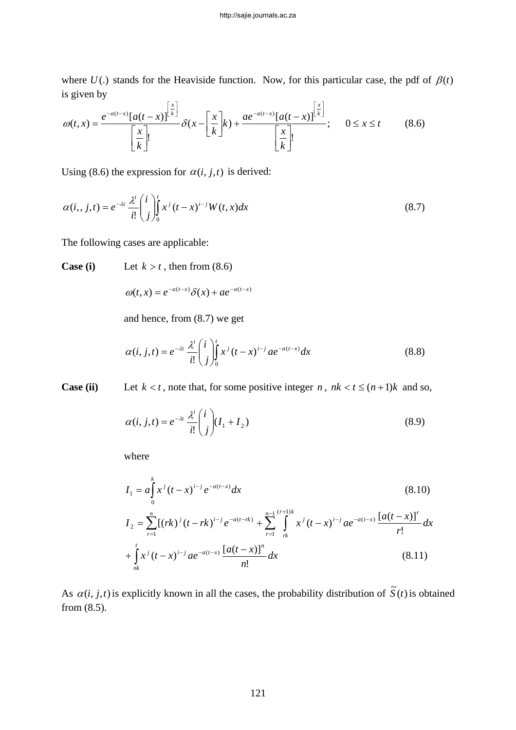where  $U(.)$  stands for the Heaviside function. Now, for this particular case, the pdf of  $\beta(t)$ is given by

$$
\omega(t,x) = \frac{e^{-a(t-x)}\left[a(t-x)\right]^{\left[\frac{x}{k}\right]}}{\left[\frac{x}{k}\right]}, \quad \delta(x - \left[\frac{x}{k}\right]k) + \frac{ae^{-a(t-x)}\left[a(t-x)\right]^{\left[\frac{x}{k}\right]}}{\left[\frac{x}{k}\right]}, \quad 0 \le x \le t \quad (8.6)
$$

Using (8.6) the expression for  $\alpha(i, j, t)$  is derived:

$$
\alpha(i, j, t) = e^{-\lambda t} \frac{\lambda^t}{i!} \binom{i}{j} \int_0^t x^j (t - x)^{i - j} W(t, x) dx \tag{8.7}
$$

The following cases are applicable:

**Case (i)** Let  $k > t$ , then from (8.6)

$$
\omega(t,x) = e^{-a(t-x)} \delta(x) + a e^{-a(t-x)}
$$

and hence, from (8.7) we get

$$
\alpha(i, j, t) = e^{-\lambda t} \frac{\lambda^{i}}{i!} {i \choose j}^{t} x^{j} (t - x)^{i-j} a e^{-a(t - x)} dx
$$
\n(8.8)

**Case (ii)** Let  $k < t$ , note that, for some positive integer *n*,  $nk < t \le (n+1)k$  and so,

$$
\alpha(i, j, t) = e^{-\lambda t} \frac{\lambda^i}{i!} \binom{i}{j} (I_1 + I_2)
$$
\n(8.9)

where

$$
I_{1} = a \int_{0}^{k} x^{j} (t - x)^{i - j} e^{-a(t - x)} dx
$$
\n
$$
I_{2} = \sum_{r=1}^{n} [(rk)^{j} (t - rk)^{i - j} e^{-a(t - rk)} + \sum_{r=1}^{n-1} \int_{rk}^{(r+1)k} x^{j} (t - x)^{i - j} a e^{-a(t - x)} \frac{[a(t - x)]^{r}}{r!} dx
$$
\n
$$
+ \int_{nk}^{t} x^{j} (t - x)^{i - j} a e^{-a(t - x)} \frac{[a(t - x)]^{n}}{n!} dx
$$
\n(8.11)

As  $\alpha(i, j, t)$  is explicitly known in all the cases, the probability distribution of  $\tilde{S}(t)$  is obtained from (8.5).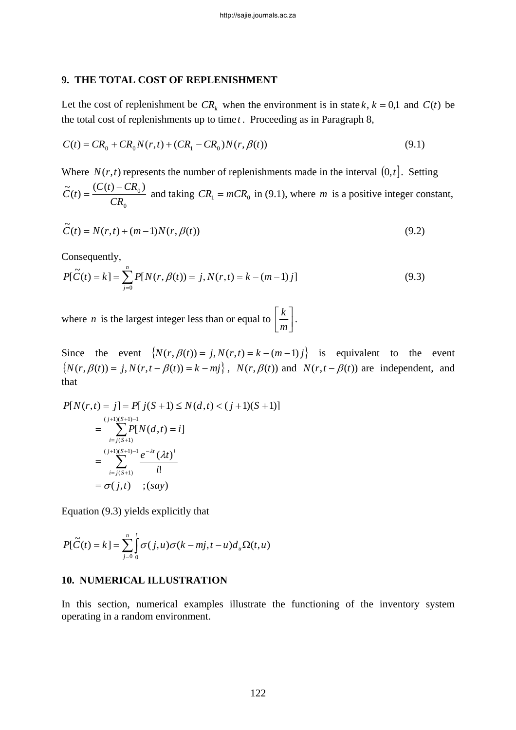#### **9. THE TOTAL COST OF REPLENISHMENT**

Let the cost of replenishment be  $CR_k$  when the environment is in state  $k, k = 0, 1$  and  $C(t)$  be the total cost of replenishments up to time *t* . Proceeding as in Paragraph 8,

$$
C(t) = CR_0 + CR_0 N(r, t) + (CR_1 - CR_0)N(r, \beta(t))
$$
\n(9.1)

Where  $N(r, t)$  represents the number of replenishments made in the interval  $(0, t]$ . Setting 0  $\widetilde{C}(t) = \frac{(C(t) - CR_0)}{C}$  $\widetilde{C}(t) = \frac{(C(t) - CR_0)}{CR_0}$  and taking  $CR_1 = mCR_0$  in (9.1), where *m* is a positive integer constant,

$$
\widetilde{C}(t) = N(r, t) + (m - 1)N(r, \beta(t))
$$
\n(9.2)

Consequently,

$$
P[\tilde{C}(t) = k] = \sum_{j=0}^{n} P[N(r, \beta(t)) = j, N(r, t) = k - (m - 1)j]
$$
\n(9.3)

where *n* is the largest integer less than or equal to  $\left\lfloor \frac{k}{m} \right\rfloor$  $\vert$ *m*  $\frac{k}{-}$ .

Since the event  ${N(r, \beta(t)) = j, N(r,t) = k - (m-1)j}$  is equivalent to the event  ${N(r, \beta(t)) = j, N(r,t - \beta(t)) = k - mj}$ ,  $N(r, \beta(t))$  and  $N(r,t - \beta(t))$  are independent, and that

$$
P[N(r,t) = j] = P[j(S+1) \le N(d,t) < (j+1)(S+1)]
$$
  
= 
$$
\sum_{i=j(S+1)}^{(j+1)(S+1)-1} P[N(d,t) = i]
$$
  
= 
$$
\sum_{i=j(S+1)}^{(j+1)(S+1)-1} \frac{e^{-\lambda t} (\lambda t)^i}{i!}
$$
  
= 
$$
\sigma(j,t) \quad ; (say)
$$

Equation (9.3) yields explicitly that

$$
P[\widetilde{C}(t) = k] = \sum_{j=0}^{n} \int_{0}^{t} \sigma(j, u) \sigma(k - mj, t - u) d_u \Omega(t, u)
$$

#### **10. NUMERICAL ILLUSTRATION**

In this section, numerical examples illustrate the functioning of the inventory system operating in a random environment.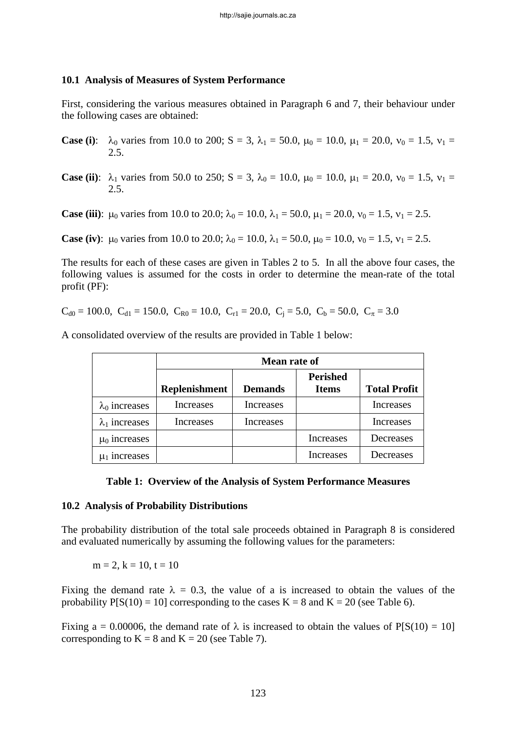### **10.1 Analysis of Measures of System Performance**

First, considering the various measures obtained in Paragraph 6 and 7, their behaviour under the following cases are obtained:

- **Case (i):**  $\lambda_0$  varies from 10.0 to 200; S = 3,  $\lambda_1$  = 50.0,  $\mu_0$  = 10.0,  $\mu_1$  = 20.0,  $\nu_0$  = 1.5,  $\nu_1$  = 2.5.
- **Case (ii)**:  $\lambda_1$  varies from 50.0 to 250; S = 3,  $\lambda_0$  = 10.0,  $\mu_0$  = 10.0,  $\mu_1$  = 20.0,  $v_0$  = 1.5,  $v_1$  = 2.5.

**Case (iii)**:  $\mu_0$  varies from 10.0 to 20.0;  $\lambda_0 = 10.0$ ,  $\lambda_1 = 50.0$ ,  $\mu_1 = 20.0$ ,  $v_0 = 1.5$ ,  $v_1 = 2.5$ .

**Case (iv):**  $\mu_0$  varies from 10.0 to 20.0;  $\lambda_0 = 10.0$ ,  $\lambda_1 = 50.0$ ,  $\mu_0 = 10.0$ ,  $v_0 = 1.5$ ,  $v_1 = 2.5$ .

The results for each of these cases are given in Tables 2 to 5. In all the above four cases, the following values is assumed for the costs in order to determine the mean-rate of the total profit (PF):

 $C_{d0} = 100.0$ ,  $C_{d1} = 150.0$ ,  $C_{R0} = 10.0$ ,  $C_{r1} = 20.0$ ,  $C_i = 5.0$ ,  $C_b = 50.0$ ,  $C_{\pi} = 3.0$ 

|                       | Mean rate of         |                  |                                 |                     |
|-----------------------|----------------------|------------------|---------------------------------|---------------------|
|                       | <b>Replenishment</b> | <b>Demands</b>   | <b>Perished</b><br><b>Items</b> | <b>Total Profit</b> |
| $\lambda_0$ increases | Increases            | Increases        |                                 | Increases           |
| $\lambda_1$ increases | Increases            | <b>Increases</b> |                                 | Increases           |
| $\mu_0$ increases     |                      |                  | <b>Increases</b>                | Decreases           |
| $\mu_1$ increases     |                      |                  | Increases                       | Decreases           |

A consolidated overview of the results are provided in Table 1 below:

### **Table 1: Overview of the Analysis of System Performance Measures**

### **10.2 Analysis of Probability Distributions**

The probability distribution of the total sale proceeds obtained in Paragraph 8 is considered and evaluated numerically by assuming the following values for the parameters:

 $m = 2$ ,  $k = 10$ ,  $t = 10$ 

Fixing the demand rate  $\lambda = 0.3$ , the value of a is increased to obtain the values of the probability  $P[S(10) = 10]$  corresponding to the cases  $K = 8$  and  $K = 20$  (see Table 6).

Fixing a = 0.00006, the demand rate of  $\lambda$  is increased to obtain the values of P[S(10) = 10] corresponding to  $K = 8$  and  $K = 20$  (see Table 7).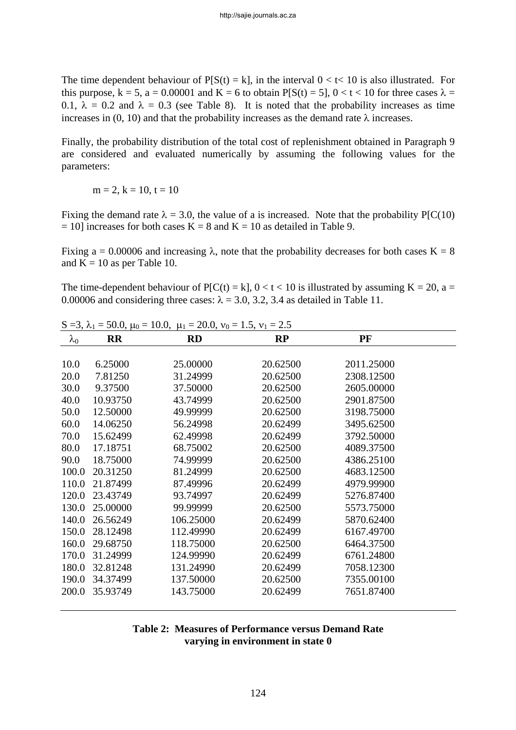The time dependent behaviour of  $P[S(t) = k]$ , in the interval  $0 < t < 10$  is also illustrated. For this purpose,  $k = 5$ ,  $a = 0.00001$  and  $K = 6$  to obtain  $P[S(t) = 5]$ ,  $0 < t < 10$  for three cases  $\lambda =$ 0.1,  $\lambda = 0.2$  and  $\lambda = 0.3$  (see Table 8). It is noted that the probability increases as time increases in (0, 10) and that the probability increases as the demand rate  $\lambda$  increases.

Finally, the probability distribution of the total cost of replenishment obtained in Paragraph 9 are considered and evaluated numerically by assuming the following values for the parameters:

 $m = 2, k = 10, t = 10$ 

Fixing the demand rate  $\lambda = 3.0$ , the value of a is increased. Note that the probability P[C(10)  $= 10$ ] increases for both cases K = 8 and K = 10 as detailed in Table 9.

Fixing a = 0.00006 and increasing λ, note that the probability decreases for both cases K = 8 and  $K = 10$  as per Table 10.

The time-dependent behaviour of  $P[C(t) = k]$ ,  $0 < t < 10$  is illustrated by assuming K = 20, a = 0.00006 and considering three cases:  $\lambda = 3.0, 3.2, 3.4$  as detailed in Table 11.

|             |           | S = 3, $\lambda_1$ = 50.0, $\mu_0$ = 10.0, $\mu_1$ = 20.0, $v_0$ = 1.5, $v_1$ = 2.5 |           |            |  |
|-------------|-----------|-------------------------------------------------------------------------------------|-----------|------------|--|
| $\lambda_0$ | <b>RR</b> | <b>RD</b>                                                                           | <b>RP</b> | PF         |  |
|             |           |                                                                                     |           |            |  |
| 10.0        | 6.25000   | 25.00000                                                                            | 20.62500  | 2011.25000 |  |
| 20.0        | 7.81250   | 31.24999                                                                            | 20.62500  | 2308.12500 |  |
| 30.0        | 9.37500   | 37.50000                                                                            | 20.62500  | 2605.00000 |  |
| 40.0        | 10.93750  | 43.74999                                                                            | 20.62500  | 2901.87500 |  |
| 50.0        | 12.50000  | 49.99999                                                                            | 20.62500  | 3198.75000 |  |
| 60.0        | 14.06250  | 56.24998                                                                            | 20.62499  | 3495.62500 |  |
| 70.0        | 15.62499  | 62.49998                                                                            | 20.62499  | 3792.50000 |  |
| 80.0        | 17.18751  | 68.75002                                                                            | 20.62500  | 4089.37500 |  |
| 90.0        | 18.75000  | 74.99999                                                                            | 20.62500  | 4386.25100 |  |
| 100.0       | 20.31250  | 81.24999                                                                            | 20.62500  | 4683.12500 |  |
| 110.0       | 21.87499  | 87.49996                                                                            | 20.62499  | 4979.99900 |  |
| 120.0       | 23.43749  | 93.74997                                                                            | 20.62499  | 5276.87400 |  |
| 130.0       | 25.00000  | 99.99999                                                                            | 20.62500  | 5573.75000 |  |
| 140.0       | 26.56249  | 106.25000                                                                           | 20.62499  | 5870.62400 |  |
| 150.0       | 28.12498  | 112.49990                                                                           | 20.62499  | 6167.49700 |  |
| 160.0       | 29.68750  | 118.75000                                                                           | 20.62500  | 6464.37500 |  |
| 170.0       | 31.24999  | 124.99990                                                                           | 20.62499  | 6761.24800 |  |
| 180.0       | 32.81248  | 131.24990                                                                           | 20.62499  | 7058.12300 |  |
| 190.0       | 34.37499  | 137.50000                                                                           | 20.62500  | 7355.00100 |  |
| 200.0       | 35.93749  | 143.75000                                                                           | 20.62499  | 7651.87400 |  |
|             |           |                                                                                     |           |            |  |

### **Table 2: Measures of Performance versus Demand Rate varying in environment in state 0**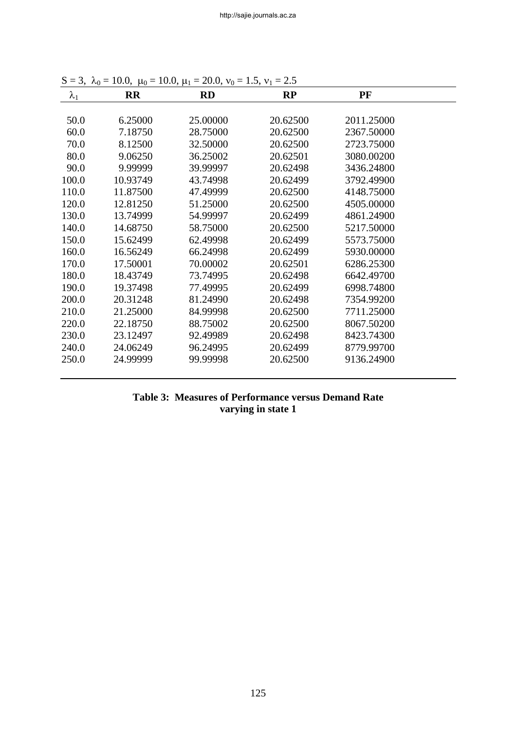| . • v∪      | $10.0, \mu v$ | $10.0, \mu_1$<br>$=$ $\cdots$ , $\cdots$ | $\ldots, \ldots$ |            |  |
|-------------|---------------|------------------------------------------|------------------|------------|--|
| $\lambda_1$ | <b>RR</b>     | <b>RD</b>                                | RP               | PF         |  |
|             |               |                                          |                  |            |  |
| 50.0        | 6.25000       | 25.00000                                 | 20.62500         | 2011.25000 |  |
| 60.0        | 7.18750       | 28.75000                                 | 20.62500         | 2367.50000 |  |
| 70.0        | 8.12500       | 32.50000                                 | 20.62500         | 2723.75000 |  |
| 80.0        | 9.06250       | 36.25002                                 | 20.62501         | 3080.00200 |  |
| 90.0        | 9.99999       | 39.99997                                 | 20.62498         | 3436.24800 |  |
| 100.0       | 10.93749      | 43.74998                                 | 20.62499         | 3792.49900 |  |
| 110.0       | 11.87500      | 47.49999                                 | 20.62500         | 4148.75000 |  |
| 120.0       | 12.81250      | 51.25000                                 | 20.62500         | 4505.00000 |  |
| 130.0       | 13.74999      | 54.99997                                 | 20.62499         | 4861.24900 |  |
| 140.0       | 14.68750      | 58.75000                                 | 20.62500         | 5217.50000 |  |
| 150.0       | 15.62499      | 62.49998                                 | 20.62499         | 5573.75000 |  |
| 160.0       | 16.56249      | 66.24998                                 | 20.62499         | 5930.00000 |  |
| 170.0       | 17.50001      | 70.00002                                 | 20.62501         | 6286.25300 |  |
| 180.0       | 18.43749      | 73.74995                                 | 20.62498         | 6642.49700 |  |
| 190.0       | 19.37498      | 77.49995                                 | 20.62499         | 6998.74800 |  |
| 200.0       | 20.31248      | 81.24990                                 | 20.62498         | 7354.99200 |  |
| 210.0       | 21.25000      | 84.99998                                 | 20.62500         | 7711.25000 |  |
| 220.0       | 22.18750      | 88.75002                                 | 20.62500         | 8067.50200 |  |
| 230.0       | 23.12497      | 92.49989                                 | 20.62498         | 8423.74300 |  |
| 240.0       | 24.06249      | 96.24995                                 | 20.62499         | 8779.99700 |  |
| 250.0       | 24.99999      | 99.99998                                 | 20.62500         | 9136.24900 |  |
|             |               |                                          |                  |            |  |

S = 3,  $\lambda_0$  = 10.0,  $\mu_0$  = 10.0,  $\mu_1$  = 20.0,  $v_0$  = 1.5,  $v_1$  = 2.5

# **Table 3: Measures of Performance versus Demand Rate varying in state 1**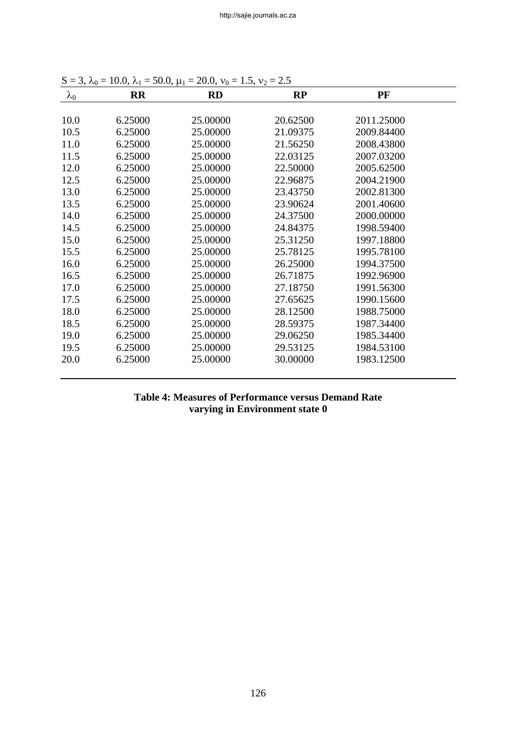| $\lambda_0$ | <b>RR</b> | <b>RD</b> | RP       | PF         |  |
|-------------|-----------|-----------|----------|------------|--|
|             |           |           |          |            |  |
| 10.0        | 6.25000   | 25.00000  | 20.62500 | 2011.25000 |  |
| 10.5        | 6.25000   | 25.00000  | 21.09375 | 2009.84400 |  |
| 11.0        | 6.25000   | 25.00000  | 21.56250 | 2008.43800 |  |
| 11.5        | 6.25000   | 25.00000  | 22.03125 | 2007.03200 |  |
| 12.0        | 6.25000   | 25.00000  | 22.50000 | 2005.62500 |  |
| 12.5        | 6.25000   | 25.00000  | 22.96875 | 2004.21900 |  |
| 13.0        | 6.25000   | 25.00000  | 23.43750 | 2002.81300 |  |
| 13.5        | 6.25000   | 25.00000  | 23.90624 | 2001.40600 |  |
| 14.0        | 6.25000   | 25.00000  | 24.37500 | 2000.00000 |  |
| 14.5        | 6.25000   | 25.00000  | 24.84375 | 1998.59400 |  |
| 15.0        | 6.25000   | 25.00000  | 25.31250 | 1997.18800 |  |
| 15.5        | 6.25000   | 25.00000  | 25.78125 | 1995.78100 |  |
| 16.0        | 6.25000   | 25.00000  | 26.25000 | 1994.37500 |  |
| 16.5        | 6.25000   | 25.00000  | 26.71875 | 1992.96900 |  |
| 17.0        | 6.25000   | 25.00000  | 27.18750 | 1991.56300 |  |
| 17.5        | 6.25000   | 25.00000  | 27.65625 | 1990.15600 |  |
| 18.0        | 6.25000   | 25.00000  | 28.12500 | 1988.75000 |  |
| 18.5        | 6.25000   | 25.00000  | 28.59375 | 1987.34400 |  |
| 19.0        | 6.25000   | 25.00000  | 29.06250 | 1985.34400 |  |
| 19.5        | 6.25000   | 25.00000  | 29.53125 | 1984.53100 |  |
| 20.0        | 6.25000   | 25.00000  | 30.00000 | 1983.12500 |  |

 $S = 3, \lambda_0 = 10.0, \lambda_1 = 50.0, \mu_1 = 20.0, \nu_0 = 1.5, \nu_2 = 2.5$ 

# **Table 4: Measures of Performance versus Demand Rate varying in Environment state 0**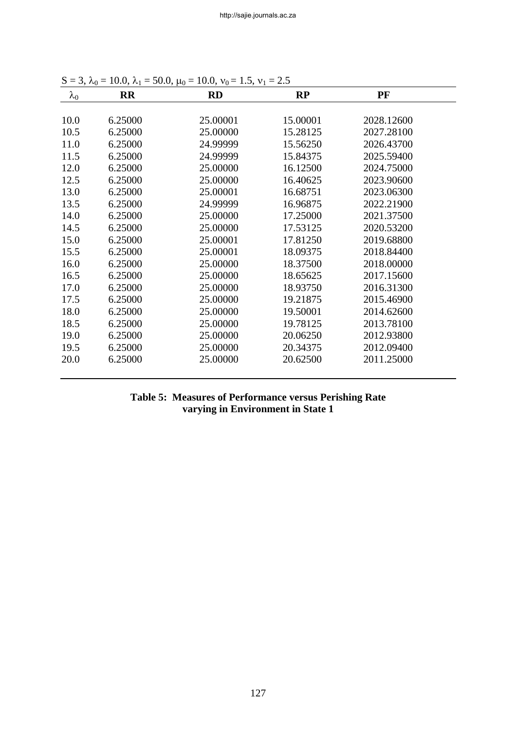| $\lambda_0$ | <b>RR</b> | <b>RD</b> | RP       | PF         |  |
|-------------|-----------|-----------|----------|------------|--|
|             |           |           |          |            |  |
| 10.0        | 6.25000   | 25.00001  | 15.00001 | 2028.12600 |  |
| 10.5        | 6.25000   | 25.00000  | 15.28125 | 2027.28100 |  |
| 11.0        | 6.25000   | 24.99999  | 15.56250 | 2026.43700 |  |
| 11.5        | 6.25000   | 24.99999  | 15.84375 | 2025.59400 |  |
| 12.0        | 6.25000   | 25.00000  | 16.12500 | 2024.75000 |  |
| 12.5        | 6.25000   | 25.00000  | 16.40625 | 2023.90600 |  |
| 13.0        | 6.25000   | 25.00001  | 16.68751 | 2023.06300 |  |
| 13.5        | 6.25000   | 24.99999  | 16.96875 | 2022.21900 |  |
| 14.0        | 6.25000   | 25.00000  | 17.25000 | 2021.37500 |  |
| 14.5        | 6.25000   | 25.00000  | 17.53125 | 2020.53200 |  |
| 15.0        | 6.25000   | 25.00001  | 17.81250 | 2019.68800 |  |
| 15.5        | 6.25000   | 25.00001  | 18.09375 | 2018.84400 |  |
| 16.0        | 6.25000   | 25.00000  | 18.37500 | 2018.00000 |  |
| 16.5        | 6.25000   | 25.00000  | 18.65625 | 2017.15600 |  |
| 17.0        | 6.25000   | 25.00000  | 18.93750 | 2016.31300 |  |
| 17.5        | 6.25000   | 25.00000  | 19.21875 | 2015.46900 |  |
| 18.0        | 6.25000   | 25.00000  | 19.50001 | 2014.62600 |  |
| 18.5        | 6.25000   | 25.00000  | 19.78125 | 2013.78100 |  |
| 19.0        | 6.25000   | 25.00000  | 20.06250 | 2012.93800 |  |
| 19.5        | 6.25000   | 25.00000  | 20.34375 | 2012.09400 |  |
| 20.0        | 6.25000   | 25.00000  | 20.62500 | 2011.25000 |  |
|             |           |           |          |            |  |

S = 3,  $\lambda_0$  = 10.0,  $\lambda_1$  = 50.0,  $\mu_0$  = 10.0,  $v_0$  = 1.5,  $v_1$  = 2.5

# **Table 5: Measures of Performance versus Perishing Rate varying in Environment in State 1**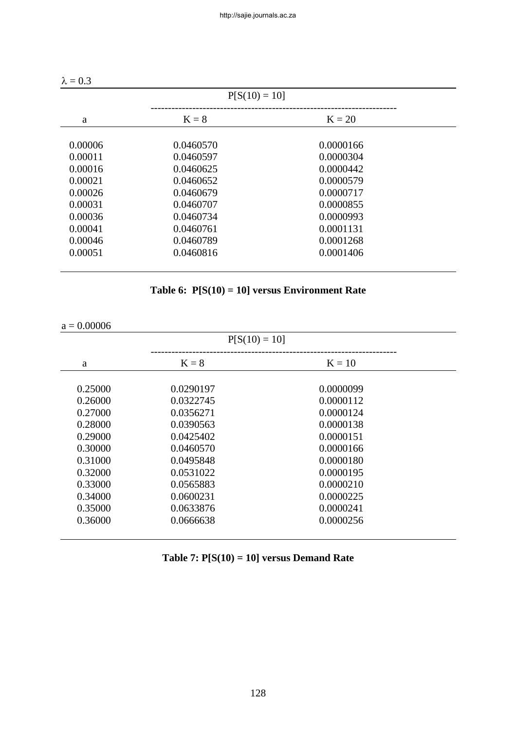| $P[S(10) = 10]$ |           |           |  |  |
|-----------------|-----------|-----------|--|--|
| $K = 8$         | $K = 20$  |           |  |  |
|                 |           |           |  |  |
| 0.0460597       | 0.0000304 |           |  |  |
| 0.0460625       | 0.0000442 |           |  |  |
| 0.0460652       | 0.0000579 |           |  |  |
| 0.0460679       | 0.0000717 |           |  |  |
| 0.0460707       | 0.0000855 |           |  |  |
| 0.0460734       | 0.0000993 |           |  |  |
| 0.0460761       | 0.0001131 |           |  |  |
| 0.0460789       | 0.0001268 |           |  |  |
| 0.0460816       | 0.0001406 |           |  |  |
|                 | 0.0460570 | 0.0000166 |  |  |

|  |  | Table 6: $P[S(10) = 10]$ versus Environment Rate |
|--|--|--------------------------------------------------|
|--|--|--------------------------------------------------|

 $a = 0.00006$ 

|         | $P[S(10) = 10]$ |           |  |
|---------|-----------------|-----------|--|
| a       | $K = 8$         | $K = 10$  |  |
|         |                 |           |  |
| 0.25000 | 0.0290197       | 0.0000099 |  |
| 0.26000 | 0.0322745       | 0.0000112 |  |
| 0.27000 | 0.0356271       | 0.0000124 |  |
| 0.28000 | 0.0390563       | 0.0000138 |  |
| 0.29000 | 0.0425402       | 0.0000151 |  |
| 0.30000 | 0.0460570       | 0.0000166 |  |
| 0.31000 | 0.0495848       | 0.0000180 |  |
| 0.32000 | 0.0531022       | 0.0000195 |  |
| 0.33000 | 0.0565883       | 0.0000210 |  |
| 0.34000 | 0.0600231       | 0.0000225 |  |
| 0.35000 | 0.0633876       | 0.0000241 |  |
| 0.36000 | 0.0666638       | 0.0000256 |  |
|         |                 |           |  |

| Table 7: $P[S(10) = 10]$ versus Demand Rate |  |  |  |
|---------------------------------------------|--|--|--|
|---------------------------------------------|--|--|--|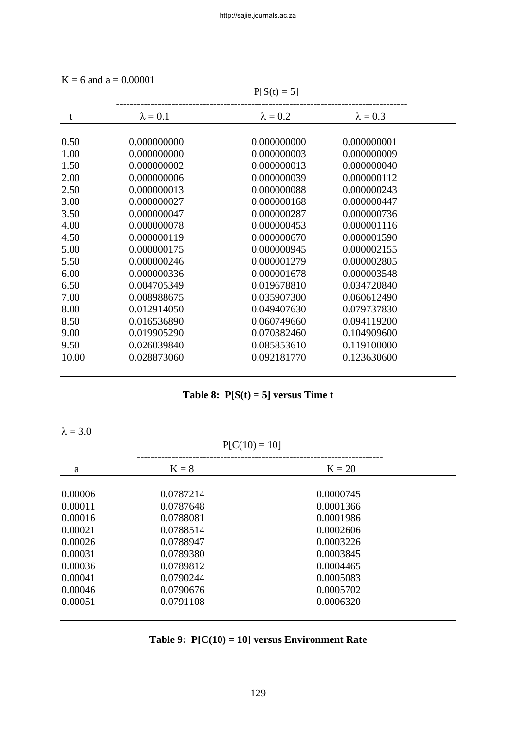$K = 6$  and  $a = 0.00001$ 

|       |                 | $P[S(t) = 5]$   |                 |  |
|-------|-----------------|-----------------|-----------------|--|
| t     | $\lambda = 0.1$ | $\lambda = 0.2$ | $\lambda = 0.3$ |  |
| 0.50  | 0.000000000     | 0.000000000     | 0.000000001     |  |
| 1.00  | 0.000000000     | 0.000000003     | 0.000000009     |  |
| 1.50  | 0.000000002     | 0.000000013     | 0.000000040     |  |
| 2.00  | 0.000000006     | 0.000000039     | 0.000000112     |  |
| 2.50  | 0.000000013     | 0.000000088     | 0.000000243     |  |
| 3.00  | 0.000000027     | 0.000000168     | 0.000000447     |  |
| 3.50  | 0.000000047     | 0.000000287     | 0.000000736     |  |
| 4.00  | 0.000000078     | 0.000000453     | 0.000001116     |  |
| 4.50  | 0.000000119     | 0.000000670     | 0.000001590     |  |
| 5.00  | 0.000000175     | 0.000000945     | 0.000002155     |  |
| 5.50  | 0.000000246     | 0.000001279     | 0.000002805     |  |
| 6.00  | 0.000000336     | 0.000001678     | 0.000003548     |  |
| 6.50  | 0.004705349     | 0.019678810     | 0.034720840     |  |
| 7.00  | 0.008988675     | 0.035907300     | 0.060612490     |  |
| 8.00  | 0.012914050     | 0.049407630     | 0.079737830     |  |
| 8.50  | 0.016536890     | 0.060749660     | 0.094119200     |  |
| 9.00  | 0.019905290     | 0.070382460     | 0.104909600     |  |
| 9.50  | 0.026039840     | 0.085853610     | 0.119100000     |  |
| 10.00 | 0.028873060     | 0.092181770     | 0.123630600     |  |

|  |  | Table 8: $P[S(t) = 5]$ versus Time t |  |
|--|--|--------------------------------------|--|
|--|--|--------------------------------------|--|

 $\lambda = 3.0$ 

|         | $P[C(10) = 10]$ |           |  |
|---------|-----------------|-----------|--|
| a       | $K = 8$         | $K = 20$  |  |
| 0.00006 | 0.0787214       | 0.0000745 |  |
| 0.00011 | 0.0787648       | 0.0001366 |  |
| 0.00016 | 0.0788081       | 0.0001986 |  |
| 0.00021 | 0.0788514       | 0.0002606 |  |
| 0.00026 | 0.0788947       | 0.0003226 |  |
| 0.00031 | 0.0789380       | 0.0003845 |  |
| 0.00036 | 0.0789812       | 0.0004465 |  |
| 0.00041 | 0.0790244       | 0.0005083 |  |
| 0.00046 | 0.0790676       | 0.0005702 |  |
| 0.00051 | 0.0791108       | 0.0006320 |  |

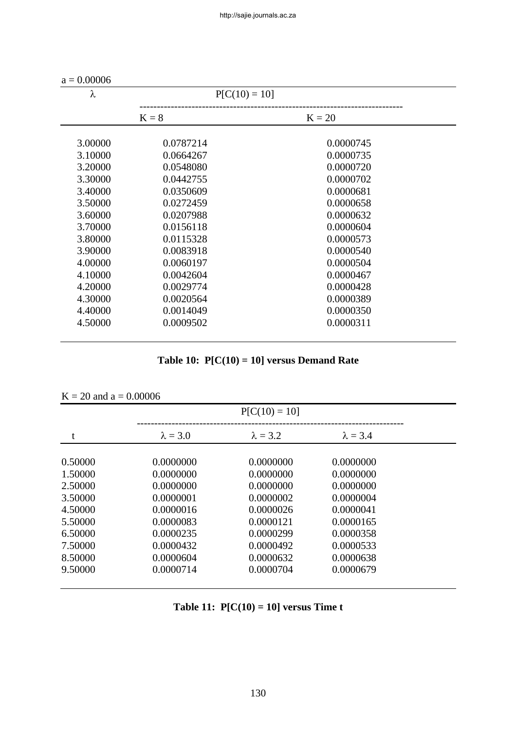| $a = 0.00006$ |                 |           |  |
|---------------|-----------------|-----------|--|
| λ             | $P[C(10) = 10]$ |           |  |
|               | $K = 8$         | $K = 20$  |  |
| 3.00000       | 0.0787214       | 0.0000745 |  |
| 3.10000       | 0.0664267       | 0.0000735 |  |
| 3.20000       | 0.0548080       | 0.0000720 |  |
| 3.30000       | 0.0442755       | 0.0000702 |  |
| 3.40000       | 0.0350609       | 0.0000681 |  |
| 3.50000       | 0.0272459       | 0.0000658 |  |
| 3.60000       | 0.0207988       | 0.0000632 |  |
| 3.70000       | 0.0156118       | 0.0000604 |  |
| 3.80000       | 0.0115328       | 0.0000573 |  |
| 3.90000       | 0.0083918       | 0.0000540 |  |
| 4.00000       | 0.0060197       | 0.0000504 |  |
| 4.10000       | 0.0042604       | 0.0000467 |  |
| 4.20000       | 0.0029774       | 0.0000428 |  |
| 4.30000       | 0.0020564       | 0.0000389 |  |
| 4.40000       | 0.0014049       | 0.0000350 |  |
| 4.50000       | 0.0009502       | 0.0000311 |  |
|               |                 |           |  |

|  |  |  | Table 10: $P[C(10) = 10]$ versus Demand Rate |
|--|--|--|----------------------------------------------|
|--|--|--|----------------------------------------------|

|  | $K = 20$ and $a = 0.00006$ |
|--|----------------------------|
|  |                            |

|         |                 | $P[C(10) = 10]$ |                 |  |
|---------|-----------------|-----------------|-----------------|--|
| t       | $\lambda = 3.0$ | $\lambda = 3.2$ | $\lambda = 3.4$ |  |
| 0.50000 | 0.0000000       | 0.0000000       | 0.0000000       |  |
| 1.50000 | 0.0000000       | 0.0000000       | 0.0000000       |  |
| 2.50000 | 0.0000000       | 0.0000000       | 0.0000000       |  |
| 3.50000 | 0.0000001       | 0.0000002       | 0.0000004       |  |
| 4.50000 | 0.0000016       | 0.0000026       | 0.0000041       |  |
| 5.50000 | 0.0000083       | 0.0000121       | 0.0000165       |  |
| 6.50000 | 0.0000235       | 0.0000299       | 0.0000358       |  |
| 7.50000 | 0.0000432       | 0.0000492       | 0.0000533       |  |
| 8.50000 | 0.0000604       | 0.0000632       | 0.0000638       |  |
| 9.50000 | 0.0000714       | 0.0000704       | 0.0000679       |  |

| Table 11: $P[C(10) = 10]$ versus Time t |  |  |  |  |
|-----------------------------------------|--|--|--|--|
|-----------------------------------------|--|--|--|--|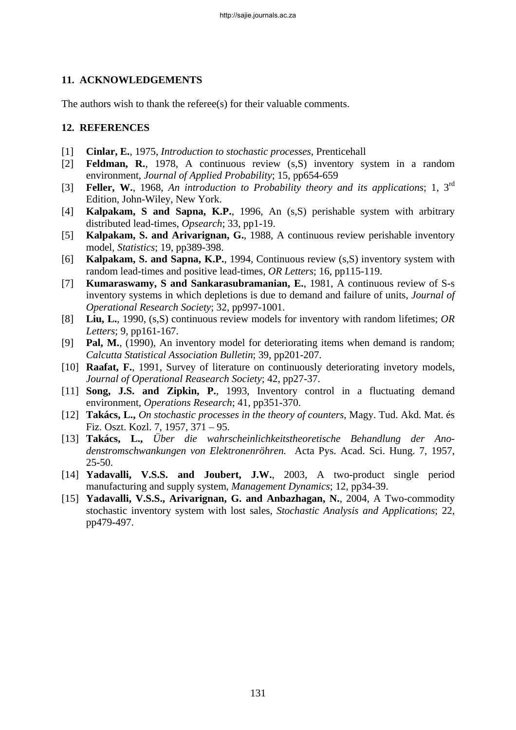# **11. ACKNOWLEDGEMENTS**

The authors wish to thank the referee(s) for their valuable comments.

# **12. REFERENCES**

- [1] **Cinlar, E.**, 1975, *Introduction to stochastic processes*, Prenticehall
- [2] **Feldman, R.**, 1978, A continuous review (s,S) inventory system in a random environment, *Journal of Applied Probability*; 15, pp654-659
- [3] **Feller, W.**, 1968, *An introduction to Probability theory and its applications*; 1, 3rd Edition, John-Wiley, New York.
- [4] **Kalpakam, S and Sapna, K.P.**, 1996, An (s,S) perishable system with arbitrary distributed lead-times, *Opsearch*; 33, pp1-19.
- [5] **Kalpakam, S. and Arivarignan, G.**, 1988, A continuous review perishable inventory model, *Statistics*; 19, pp389-398.
- [6] **Kalpakam, S. and Sapna, K.P.**, 1994, Continuous review (s,S) inventory system with random lead-times and positive lead-times, *OR Letters*; 16, pp115-119.
- [7] **Kumaraswamy, S and Sankarasubramanian, E.**, 1981, A continuous review of S-s inventory systems in which depletions is due to demand and failure of units, *Journal of Operational Research Society*; 32, pp997-1001.
- [8] **Liu, L.**, 1990, (s,S) continuous review models for inventory with random lifetimes; *OR Letters*; 9, pp161-167.
- [9] **Pal, M.**, (1990), An inventory model for deteriorating items when demand is random; *Calcutta Statistical Association Bulletin*; 39, pp201-207.
- [10] **Raafat, F.**, 1991, Survey of literature on continuously deteriorating invetory models, *Journal of Operational Reasearch Society*; 42, pp27-37.
- [11] **Song, J.S. and Zipkin, P.**, 1993, Inventory control in a fluctuating demand environment, *Operations Research*; 41, pp351-370.
- [12] **Takács, L.,** *On stochastic processes in the theory of counters*, Magy. Tud. Akd. Mat. és Fiz. Oszt. Kozl. 7, 1957, 371 – 95.
- [13] **Takács, L.,** *Über die wahrscheinlichkeitstheoretische Behandlung der Anodenstromschwankungen von Elektronenröhren.* Acta Pys. Acad. Sci. Hung. 7, 1957, 25-50.
- [14] **Yadavalli, V.S.S. and Joubert, J.W.**, 2003, A two-product single period manufacturing and supply system, *Management Dynamics*; 12, pp34-39.
- [15] **Yadavalli, V.S.S., Arivarignan, G. and Anbazhagan, N.**, 2004, A Two-commodity stochastic inventory system with lost sales, *Stochastic Analysis and Applications*; 22, pp479-497.